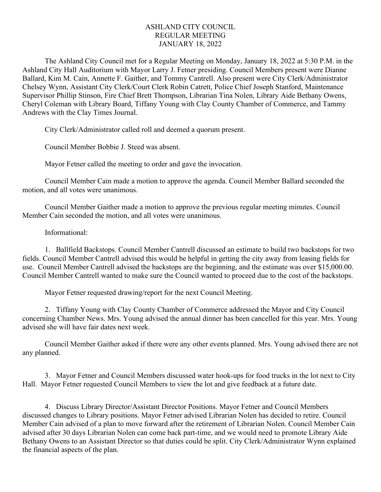## ASHLAND CITY COUNCIL REGULAR MEETING JANUARY 18, 2022

The Ashland City Council met for a Regular Meeting on Monday, January 18, 2022 at 5:30 P.M. in the Ashland City Hall Auditorium with Mayor Larry J. Fetner presiding. Council Members present were Dianne Ballard, Kim M. Cain, Annette F. Gaither, and Tommy Cantrell. Also present were City Clerk/Administrator Chelsey Wynn, Assistant City Clerk/Court Clerk Robin Catrett, Police Chief Joseph Stanford, Maintenance Supervisor Phillip Stinson, Fire Chief Brett Thompson, Librarian Tina Nolen, Library Aide Bethany Owens, Cheryl Coleman with Library Board, Tiffany Young with Clay County Chamber of Commerce, and Tammy Andrews with the Clay Times Journal.

City Clerk/Administrator called roll and deemed a quorum present.

Council Member Bobbie J. Steed was absent.

Mayor Fetner called the meeting to order and gave the invocation.

Council Member Cain made a motion to approve the agenda. Council Member Ballard seconded the motion, and all votes were unanimous.

Council Member Gaither made a motion to approve the previous regular meeting minutes. Council Member Cain seconded the motion, and all votes were unanimous.

## Informational:

1. Ballfield Backstops. Council Member Cantrell discussed an estimate to build two backstops for two fields. Council Member Cantrell advised this would be helpful in getting the city away from leasing fields for use. Council Member Cantrell advised the backstops are the beginning, and the estimate was over \$15,000.00. Council Member Cantrell wanted to make sure the Council wanted to proceed due to the cost of the backstops.

Mayor Fetner requested drawing/report for the next Council Meeting.

2. Tiffany Young with Clay County Chamber of Commerce addressed the Mayor and City Council concerning Chamber News. Mrs. Young advised the annual dinner has been cancelled for this year. Mrs. Young advised she will have fair dates next week.

Council Member Gaither asked if there were any other events planned. Mrs. Young advised there are not any planned.

3. Mayor Fetner and Council Members discussed water hook-ups for food trucks in the lot next to City Hall. Mayor Fetner requested Council Members to view the lot and give feedback at a future date.

4. Discuss Library Director/Assistant Director Positions. Mayor Fetner and Council Members discussed changes to Library positions. Mayor Fetner advised Librarian Nolen has decided to retire. Council Member Cain advised of a plan to move forward after the retirement of Librarian Nolen. Council Member Cain advised after 30 days Librarian Nolen can come back part-time, and we would need to promote Library Aide Bethany Owens to an Assistant Director so that duties could be split. City Clerk/Administrator Wynn explained the financial aspects of the plan.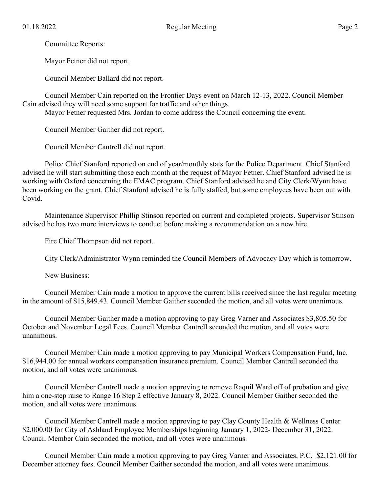Committee Reports:

Mayor Fetner did not report.

Council Member Ballard did not report.

Council Member Cain reported on the Frontier Days event on March 12-13, 2022. Council Member Cain advised they will need some support for traffic and other things.

Mayor Fetner requested Mrs. Jordan to come address the Council concerning the event.

Council Member Gaither did not report.

Council Member Cantrell did not report.

Police Chief Stanford reported on end of year/monthly stats for the Police Department. Chief Stanford advised he will start submitting those each month at the request of Mayor Fetner. Chief Stanford advised he is working with Oxford concerning the EMAC program. Chief Stanford advised he and City Clerk/Wynn have been working on the grant. Chief Stanford advised he is fully staffed, but some employees have been out with Covid.

Maintenance Supervisor Phillip Stinson reported on current and completed projects. Supervisor Stinson advised he has two more interviews to conduct before making a recommendation on a new hire.

Fire Chief Thompson did not report.

City Clerk/Administrator Wynn reminded the Council Members of Advocacy Day which is tomorrow.

New Business:

Council Member Cain made a motion to approve the current bills received since the last regular meeting in the amount of \$15,849.43. Council Member Gaither seconded the motion, and all votes were unanimous.

Council Member Gaither made a motion approving to pay Greg Varner and Associates \$3,805.50 for October and November Legal Fees. Council Member Cantrell seconded the motion, and all votes were unanimous.

Council Member Cain made a motion approving to pay Municipal Workers Compensation Fund, Inc. \$16,944.00 for annual workers compensation insurance premium. Council Member Cantrell seconded the motion, and all votes were unanimous.

Council Member Cantrell made a motion approving to remove Raquil Ward off of probation and give him a one-step raise to Range 16 Step 2 effective January 8, 2022. Council Member Gaither seconded the motion, and all votes were unanimous.

Council Member Cantrell made a motion approving to pay Clay County Health & Wellness Center \$2,000.00 for City of Ashland Employee Memberships beginning January 1, 2022- December 31, 2022. Council Member Cain seconded the motion, and all votes were unanimous.

Council Member Cain made a motion approving to pay Greg Varner and Associates, P.C. \$2,121.00 for December attorney fees. Council Member Gaither seconded the motion, and all votes were unanimous.